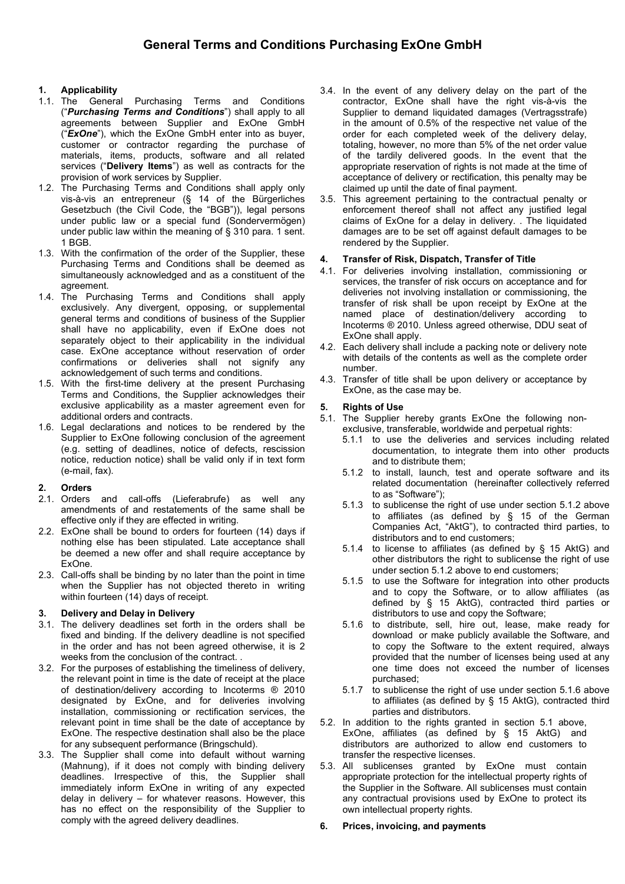# 1. Applicability

- 1.1. The General Purchasing Terms and Conditions ("Purchasing Terms and Conditions") shall apply to all agreements between Supplier and ExOne GmbH (" $\mathsf{ExOne}$ "), which the ExOne GmbH enter into as buyer, customer or contractor regarding the purchase of materials, items, products, software and all related services ("Delivery Items") as well as contracts for the provision of work services by Supplier.
- 1.2. The Purchasing Terms and Conditions shall apply only vis-à-vis an entrepreneur (§ 14 of the Bürgerliches Gesetzbuch (the Civil Code, the "BGB")), legal persons under public law or a special fund (Sondervermögen) under public law within the meaning of § 310 para. 1 sent. 1 BGB.
- 1.3. With the confirmation of the order of the Supplier, these Purchasing Terms and Conditions shall be deemed as simultaneously acknowledged and as a constituent of the agreement.
- 1.4. The Purchasing Terms and Conditions shall apply exclusively. Any divergent, opposing, or supplemental general terms and conditions of business of the Supplier shall have no applicability, even if ExOne does not separately object to their applicability in the individual case. ExOne acceptance without reservation of order confirmations or deliveries shall not signify any acknowledgement of such terms and conditions.
- 1.5. With the first-time delivery at the present Purchasing Terms and Conditions, the Supplier acknowledges their exclusive applicability as a master agreement even for additional orders and contracts.
- 1.6. Legal declarations and notices to be rendered by the Supplier to ExOne following conclusion of the agreement (e.g. setting of deadlines, notice of defects, rescission notice, reduction notice) shall be valid only if in text form (e-mail, fax).

## 2. Orders

- 2.1. Orders and call-offs (Lieferabrufe) as well any amendments of and restatements of the same shall be effective only if they are effected in writing.
- 2.2. ExOne shall be bound to orders for fourteen (14) days if nothing else has been stipulated. Late acceptance shall be deemed a new offer and shall require acceptance by ExOne.
- 2.3. Call-offs shall be binding by no later than the point in time when the Supplier has not objected thereto in writing within fourteen (14) days of receipt.

# 3. Delivery and Delay in Delivery

- 3.1. The delivery deadlines set forth in the orders shall be fixed and binding. If the delivery deadline is not specified in the order and has not been agreed otherwise, it is 2 weeks from the conclusion of the contract. .
- 3.2. For the purposes of establishing the timeliness of delivery, the relevant point in time is the date of receipt at the place of destination/delivery according to Incoterms ® 2010 designated by ExOne, and for deliveries involving installation, commissioning or rectification services, the relevant point in time shall be the date of acceptance by ExOne. The respective destination shall also be the place for any subsequent performance (Bringschuld).
- 3.3. The Supplier shall come into default without warning (Mahnung), if it does not comply with binding delivery deadlines. Irrespective of this, the Supplier shall immediately inform ExOne in writing of any expected delay in delivery – for whatever reasons. However, this has no effect on the responsibility of the Supplier to comply with the agreed delivery deadlines.
- 3.4. In the event of any delivery delay on the part of the contractor, ExOne shall have the right vis-à-vis the Supplier to demand liquidated damages (Vertragsstrafe) in the amount of 0.5% of the respective net value of the order for each completed week of the delivery delay, totaling, however, no more than 5% of the net order value of the tardily delivered goods. In the event that the appropriate reservation of rights is not made at the time of acceptance of delivery or rectification, this penalty may be claimed up until the date of final payment.
- 3.5. This agreement pertaining to the contractual penalty or enforcement thereof shall not affect any justified legal claims of ExOne for a delay in delivery. . The liquidated damages are to be set off against default damages to be rendered by the Supplier.

## 4. Transfer of Risk, Dispatch, Transfer of Title

- 4.1. For deliveries involving installation, commissioning or services, the transfer of risk occurs on acceptance and for deliveries not involving installation or commissioning, the transfer of risk shall be upon receipt by ExOne at the named place of destination/delivery according to Incoterms ® 2010. Unless agreed otherwise, DDU seat of ExOne shall apply.
- 4.2. Each delivery shall include a packing note or delivery note with details of the contents as well as the complete order number.
- 4.3. Transfer of title shall be upon delivery or acceptance by ExOne, as the case may be.

# 5. Rights of Use

5.1. The Supplier hereby grants ExOne the following nonexclusive, transferable, worldwide and perpetual rights:

- 5.1.1 to use the deliveries and services including related documentation, to integrate them into other products and to distribute them;
- 5.1.2 to install, launch, test and operate software and its related documentation (hereinafter collectively referred to as "Software");
- 5.1.3 to sublicense the right of use under section 5.1.2 above to affiliates (as defined by § 15 of the German Companies Act, "AktG"), to contracted third parties, to distributors and to end customers;
- 5.1.4 to license to affiliates (as defined by § 15 AktG) and other distributors the right to sublicense the right of use under section 5.1.2 above to end customers;
- 5.1.5 to use the Software for integration into other products and to copy the Software, or to allow affiliates (as defined by § 15 AktG), contracted third parties or distributors to use and copy the Software;
- 5.1.6 to distribute, sell, hire out, lease, make ready for download or make publicly available the Software, and to copy the Software to the extent required, always provided that the number of licenses being used at any one time does not exceed the number of licenses purchased;
- 5.1.7 to sublicense the right of use under section 5.1.6 above to affiliates (as defined by § 15 AktG), contracted third parties and distributors.
- 5.2. In addition to the rights granted in section 5.1 above, ExOne, affiliates (as defined by § 15 AktG) and distributors are authorized to allow end customers to transfer the respective licenses.
- 5.3. All sublicenses granted by ExOne must contain appropriate protection for the intellectual property rights of the Supplier in the Software. All sublicenses must contain any contractual provisions used by ExOne to protect its own intellectual property rights.

## 6. Prices, invoicing, and payments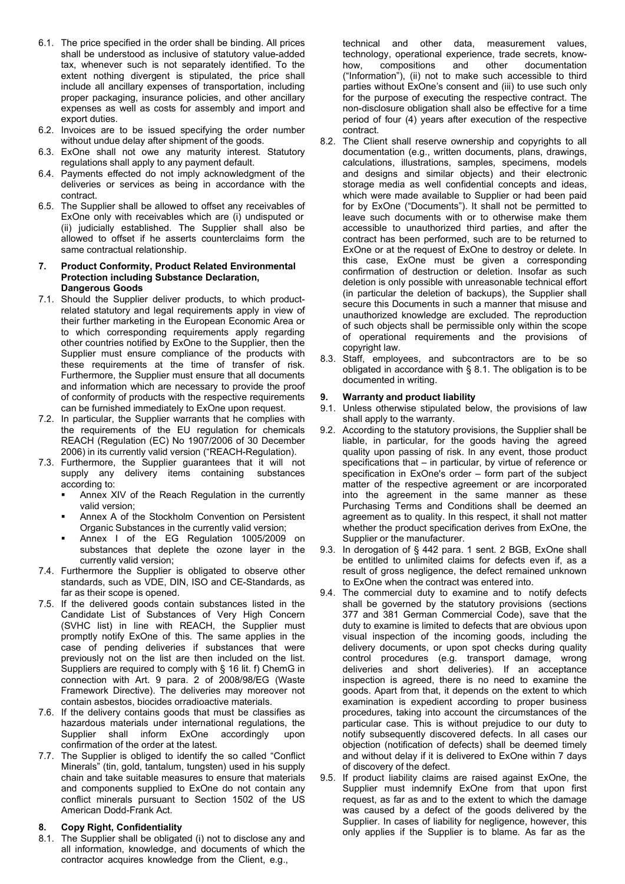- 6.1. The price specified in the order shall be binding. All prices shall be understood as inclusive of statutory value-added tax, whenever such is not separately identified. To the extent nothing divergent is stipulated, the price shall include all ancillary expenses of transportation, including proper packaging, insurance policies, and other ancillary expenses as well as costs for assembly and import and export duties.
- 6.2. Invoices are to be issued specifying the order number without undue delay after shipment of the goods.
- 6.3. ExOne shall not owe any maturity interest. Statutory regulations shall apply to any payment default.
- 6.4. Payments effected do not imply acknowledgment of the deliveries or services as being in accordance with the contract.
- 6.5. The Supplier shall be allowed to offset any receivables of ExOne only with receivables which are (i) undisputed or (ii) judicially established. The Supplier shall also be allowed to offset if he asserts counterclaims form the same contractual relationship.

#### 7. Product Conformity, Product Related Environmental Protection including Substance Declaration, Dangerous Goods

- 7.1. Should the Supplier deliver products, to which productrelated statutory and legal requirements apply in view of their further marketing in the European Economic Area or to which corresponding requirements apply regarding other countries notified by ExOne to the Supplier, then the Supplier must ensure compliance of the products with these requirements at the time of transfer of risk. Furthermore, the Supplier must ensure that all documents and information which are necessary to provide the proof of conformity of products with the respective requirements can be furnished immediately to ExOne upon request.
- 7.2. In particular, the Supplier warrants that he complies with the requirements of the EU regulation for chemicals REACH (Regulation (EC) No 1907/2006 of 30 December 2006) in its currently valid version ("REACH-Regulation).
- 7.3. Furthermore, the Supplier guarantees that it will not supply any delivery items containing substances according to:
	- Annex XIV of the Reach Regulation in the currently valid version;
	- Annex A of the Stockholm Convention on Persistent Organic Substances in the currently valid version;
	- Annex I of the EG Regulation 1005/2009 on substances that deplete the ozone layer in the currently valid version;
- 7.4. Furthermore the Supplier is obligated to observe other standards, such as VDE, DIN, ISO and CE-Standards, as far as their scope is opened.
- 7.5. If the delivered goods contain substances listed in the Candidate List of Substances of Very High Concern (SVHC list) in line with REACH, the Supplier must promptly notify ExOne of this. The same applies in the case of pending deliveries if substances that were previously not on the list are then included on the list. Suppliers are required to comply with § 16 lit. f) ChemG in connection with Art. 9 para. 2 of 2008/98/EG (Waste Framework Directive). The deliveries may moreover not contain asbestos, biocides or radioactive materials.
- 7.6. If the delivery contains goods that must be classifies as hazardous materials under international regulations, the Supplier shall inform ExOne accordingly upon confirmation of the order at the latest.
- 7.7. The Supplier is obliged to identify the so called "Conflict Minerals" (tin, gold, tantalum, tungsten) used in his supply chain and take suitable measures to ensure that materials and components supplied to ExOne do not contain any conflict minerals pursuant to Section 1502 of the US American Dodd-Frank Act.

## 8. Copy Right, Confidentiality

8.1. The Supplier shall be obligated (i) not to disclose any and all information, knowledge, and documents of which the contractor acquires knowledge from the Client, e.g.,

technical and other data, measurement values, technology, operational experience, trade secrets, knowhow, compositions and other documentation ("Information"), (ii) not to make such accessible to third parties without ExOne's consent and (iii) to use such only for the purpose of executing the respective contract. The non-disclosure obligation shall also be effective for a time period of four (4) years after execution of the respective contract.

- 8.2. The Client shall reserve ownership and copyrights to all documentation (e.g., written documents, plans, drawings, calculations, illustrations, samples, specimens, models and designs and similar objects) and their electronic storage media as well confidential concepts and ideas, which were made available to Supplier or had been paid for by ExOne ("Documents"). It shall not be permitted to leave such documents with or to otherwise make them accessible to unauthorized third parties, and after the contract has been performed, such are to be returned to ExOne or at the request of ExOne to destroy or delete. In this case, ExOne must be given a corresponding confirmation of destruction or deletion. Insofar as such deletion is only possible with unreasonable technical effort (in particular the deletion of backups), the Supplier shall secure this Documents in such a manner that misuse and unauthorized knowledge are excluded. The reproduction of such objects shall be permissible only within the scope of operational requirements and the provisions of copyright law.
- 8.3. Staff, employees, and subcontractors are to be so obligated in accordance with § 8.1. The obligation is to be documented in writing.

## Warranty and product liability

- 9.1. Unless otherwise stipulated below, the provisions of law shall apply to the warranty.
- 9.2. According to the statutory provisions, the Supplier shall be liable, in particular, for the goods having the agreed quality upon passing of risk. In any event, those product specifications that – in particular, by virtue of reference or specification in ExOne's order – form part of the subject matter of the respective agreement or are incorporated into the agreement in the same manner as these Purchasing Terms and Conditions shall be deemed an agreement as to quality. In this respect, it shall not matter whether the product specification derives from ExOne, the Supplier or the manufacturer.
- 9.3. In derogation of § 442 para. 1 sent. 2 BGB, ExOne shall be entitled to unlimited claims for defects even if, as a result of gross negligence, the defect remained unknown to ExOne when the contract was entered into.
- 9.4. The commercial duty to examine and to notify defects shall be governed by the statutory provisions (sections 377 and 381 German Commercial Code), save that the duty to examine is limited to defects that are obvious upon visual inspection of the incoming goods, including the delivery documents, or upon spot checks during quality control procedures (e.g. transport damage, wrong deliveries and short deliveries). If an acceptance inspection is agreed, there is no need to examine the goods. Apart from that, it depends on the extent to which examination is expedient according to proper business procedures, taking into account the circumstances of the particular case. This is without prejudice to our duty to notify subsequently discovered defects. In all cases our objection (notification of defects) shall be deemed timely and without delay if it is delivered to ExOne within 7 days of discovery of the defect.
- 9.5. If product liability claims are raised against ExOne, the Supplier must indemnify ExOne from that upon first request, as far as and to the extent to which the damage was caused by a defect of the goods delivered by the Supplier. In cases of liability for negligence, however, this only applies if the Supplier is to blame. As far as the